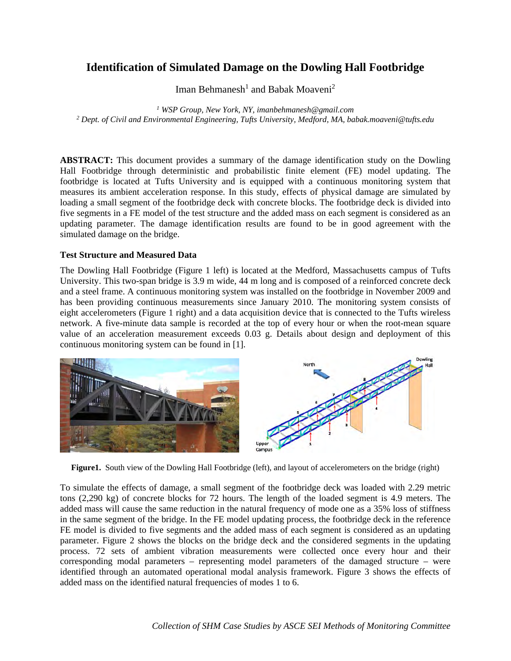# **Identification of Simulated Damage on the Dowling Hall Footbridge**

Iman Behmanesh<sup>1</sup> and Babak Moaveni<sup>2</sup>

<sup>1</sup> WSP Group, New York, NY, imanbehmanesh@gmail.com  *WSP Group, New York, NY, imanbehmanesh@gmail.com 2 Dept. of Civil and Environmental Engineering, Tufts University, Medford, MA, babak.moaveni@tufts.edu* 

**ABSTRACT:** This document provides a summary of the damage identification study on the Dowling Hall Footbridge through deterministic and probabilistic finite element (FE) model updating. The footbridge is located at Tufts University and is equipped with a continuous monitoring system that measures its ambient acceleration response. In this study, effects of physical damage are simulated by loading a small segment of the footbridge deck with concrete blocks. The footbridge deck is divided into five segments in a FE model of the test structure and the added mass on each segment is considered as an updating parameter. The damage identification results are found to be in good agreement with the simulated damage on the bridge.

# **Test Structure and Measured Data**

The Dowling Hall Footbridge (Figure 1 left) is located at the Medford, Massachusetts campus of Tufts University. This two-span bridge is 3.9 m wide, 44 m long and is composed of a reinforced concrete deck and a steel frame. A continuous monitoring system was installed on the footbridge in November 2009 and has been providing continuous measurements since January 2010. The monitoring system consists of eight accelerometers (Figure 1 right) and a data acquisition device that is connected to the Tufts wireless network. A five-minute data sample is recorded at the top of every hour or when the root-mean square value of an acceleration measurement exceeds 0.03 g. Details about design and deployment of this continuous monitoring system can be found in [1].



**Figure1.** South view of the Dowling Hall Footbridge (left), and layout of accelerometers on the bridge (right)

To simulate the effects of damage, a small segment of the footbridge deck was loaded with 2.29 metric tons (2,290 kg) of concrete blocks for 72 hours. The length of the loaded segment is 4.9 meters. The added mass will cause the same reduction in the natural frequency of mode one as a 35% loss of stiffness in the same segment of the bridge. In the FE model updating process, the footbridge deck in the reference FE model is divided to five segments and the added mass of each segment is considered as an updating parameter. Figure 2 shows the blocks on the bridge deck and the considered segments in the updating process. 72 sets of ambient vibration measurements were collected once every hour and their corresponding modal parameters – representing model parameters of the damaged structure – were identified through an automated operational modal analysis framework. Figure 3 shows the effects of added mass on the identified natural frequencies of modes 1 to 6.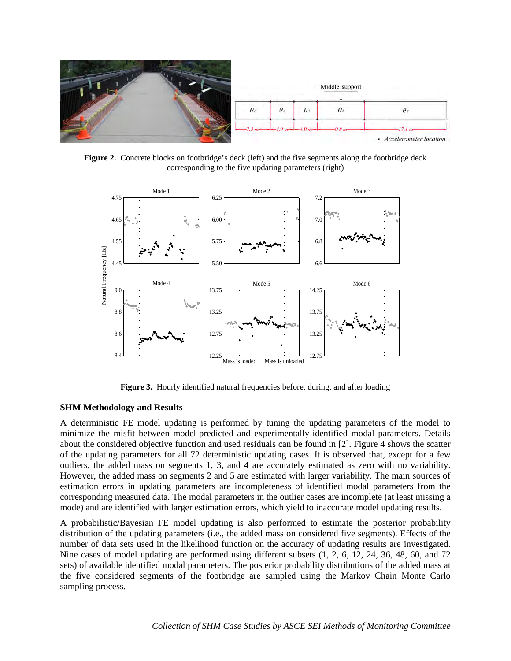

**Figure 2.** Concrete blocks on footbridge's deck (left) and the five segments along the footbridge deck corresponding to the five updating parameters (right)



**Figure 3.** Hourly identified natural frequencies before, during, and after loading

## **SHM Methodology and Results**

A deterministic FE model updating is performed by tuning the updating parameters of the model to minimize the misfit between model-predicted and experimentally-identified modal parameters. Details about the considered objective function and used residuals can be found in [2]. Figure 4 shows the scatter of the updating parameters for all 72 deterministic updating cases. It is observed that, except for a few outliers, the added mass on segments 1, 3, and 4 are accurately estimated as zero with no variability. However, the added mass on segments 2 and 5 are estimated with larger variability. The main sources of estimation errors in updating parameters are incompleteness of identified modal parameters from the corresponding measured data. The modal parameters in the outlier cases are incomplete (at least missing a mode) and are identified with larger estimation errors, which yield to inaccurate model updating results.

A probabilistic/Bayesian FE model updating is also performed to estimate the posterior probability distribution of the updating parameters (i.e., the added mass on considered five segments). Effects of the number of data sets used in the likelihood function on the accuracy of updating results are investigated. Nine cases of model updating are performed using different subsets (1, 2, 6, 12, 24, 36, 48, 60, and 72 sets) of available identified modal parameters. The posterior probability distributions of the added mass at the five considered segments of the footbridge are sampled using the Markov Chain Monte Carlo sampling process.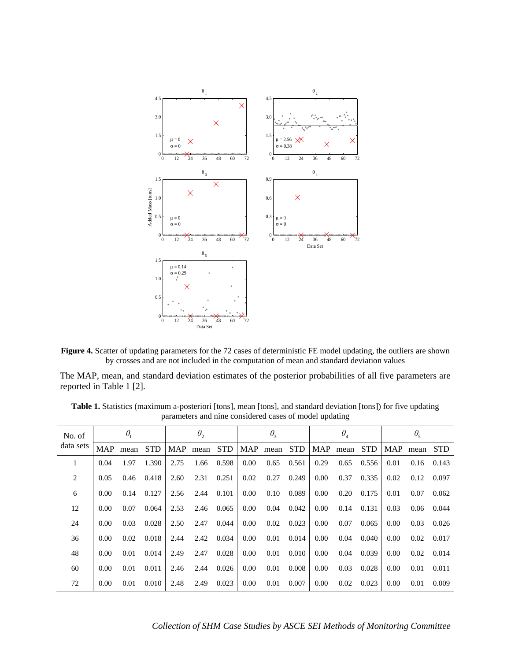



The MAP, mean, and standard deviation estimates of the posterior probabilities of all five parameters are reported in Table 1 [2].

| No. of<br>data sets | $\theta_{1}$ |      |            | $\theta_{2}$ |      |            | $\theta_{3}$ |          |            | $\theta_{\scriptscriptstyle 4}$ |      |            | $\theta_{5}$ |      |            |
|---------------------|--------------|------|------------|--------------|------|------------|--------------|----------|------------|---------------------------------|------|------------|--------------|------|------------|
|                     | MAP          | mean | <b>STD</b> | <b>MAP</b>   | mean | <b>STD</b> |              | MAP mean | <b>STD</b> | <b>MAP</b>                      | mean | <b>STD</b> | MAP          | mean | <b>STD</b> |
| 1                   | 0.04         | 1.97 | 1.390      | 2.75         | 1.66 | 0.598      | 0.00         | 0.65     | 0.561      | 0.29                            | 0.65 | 0.556      | 0.01         | 0.16 | 0.143      |
| 2                   | 0.05         | 0.46 | 0.418      | 2.60         | 2.31 | 0.251      | 0.02         | 0.27     | 0.249      | 0.00                            | 0.37 | 0.335      | 0.02         | 0.12 | 0.097      |
| 6                   | 0.00         | 0.14 | 0.127      | 2.56         | 2.44 | 0.101      | 0.00         | 0.10     | 0.089      | 0.00                            | 0.20 | 0.175      | 0.01         | 0.07 | 0.062      |
| 12                  | 0.00         | 0.07 | 0.064      | 2.53         | 2.46 | 0.065      | 0.00         | 0.04     | 0.042      | 0.00                            | 0.14 | 0.131      | 0.03         | 0.06 | 0.044      |
| 24                  | 0.00         | 0.03 | 0.028      | 2.50         | 2.47 | 0.044      | 0.00         | 0.02     | 0.023      | 0.00                            | 0.07 | 0.065      | 0.00         | 0.03 | 0.026      |
| 36                  | 0.00         | 0.02 | 0.018      | 2.44         | 2.42 | 0.034      | 0.00         | 0.01     | 0.014      | 0.00                            | 0.04 | 0.040      | 0.00         | 0.02 | 0.017      |
| 48                  | 0.00         | 0.01 | 0.014      | 2.49         | 2.47 | 0.028      | 0.00         | 0.01     | 0.010      | 0.00                            | 0.04 | 0.039      | 0.00         | 0.02 | 0.014      |
| 60                  | 0.00         | 0.01 | 0.011      | 2.46         | 2.44 | 0.026      | 0.00         | 0.01     | 0.008      | 0.00                            | 0.03 | 0.028      | 0.00         | 0.01 | 0.011      |
| 72                  | 0.00         | 0.01 | 0.010      | 2.48         | 2.49 | 0.023      | 0.00         | 0.01     | 0.007      | 0.00                            | 0.02 | 0.023      | 0.00         | 0.01 | 0.009      |

**Table 1.** Statistics (maximum a-posteriori [tons], mean [tons], and standard deviation [tons]) for five updating parameters and nine considered cases of model updating